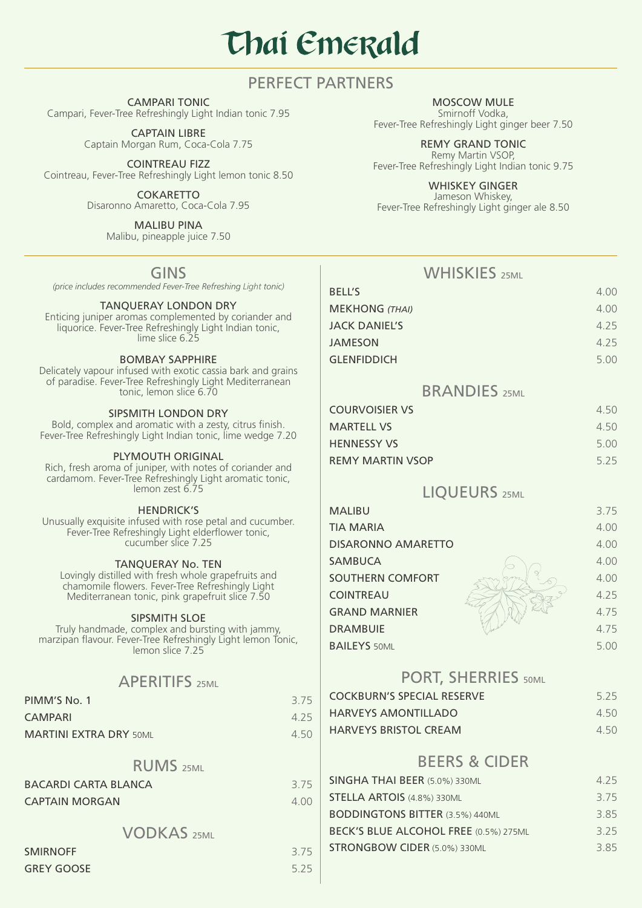# **Thai Emerald**

## PERFECT PARTNERS

CAMPARI TONIC Campari, Fever-Tree Refreshingly Light Indian tonic 7.95

> CAPTAIN LIBRE Captain Morgan Rum, Coca-Cola 7.75

COINTREAU FIZZ Cointreau, Fever-Tree Refreshingly Light lemon tonic 8.50

> **COKARETTO** Disaronno Amaretto, Coca-Cola 7.95

> > MALIBU PINA Malibu, pineapple juice 7.50

> > > GINS

*(price includes recommended Fever-Tree Refreshing Light tonic)*

#### TANQUERAY LONDON DRY

Enticing juniper aromas complemented by coriander and liquorice. Fever-Tree Refreshingly Light Indian tonic, lime slice 6.25

#### BOMBAY SAPPHIRE

Delicately vapour infused with exotic cassia bark and grains of paradise. Fever-Tree Refreshingly Light Mediterranean tonic, lemon slice 6.70

#### SIPSMITH LONDON DRY

Bold, complex and aromatic with a zesty, citrus finish. Fever-Tree Refreshingly Light Indian tonic, lime wedge 7.20

#### PLYMOUTH ORIGINAL

Rich, fresh aroma of juniper, with notes of coriander and cardamom. Fever-Tree Refreshingly Light aromatic tonic, lemon zest 6.75

HENDRICK'S

Unusually exquisite infused with rose petal and cucumber. Fever-Tree Refreshingly Light elderflower tonic, cucumber slice 7.25

#### TANQUERAY No. TEN

Lovingly distilled with fresh whole grapefruits and chamomile flowers. Fever-Tree Refreshingly Light Mediterranean tonic, pink grapefruit slice 7.50

#### SIPSMITH SLOE

Truly handmade, complex and bursting with jammy, marzipan flavour. Fever-Tree Refreshingly Light lemon Tonic, lemon slice 7.25

## **APERITIES**

| PIMM'S No. 1                  | 3.75  |
|-------------------------------|-------|
| <b>CAMPARI</b>                | 4 2 5 |
| <b>MARTINI EXTRA DRY 50ML</b> | 450   |

## RUMS<sub>25ML</sub>

| <b>BACARDI CARTA BLANCA</b> | 3.75 |
|-----------------------------|------|
| <b>CAPTAIN MORGAN</b>       | 4.00 |

## VODKAS 25ML

| <b>SMIRNOFF</b>   | 3.75 |
|-------------------|------|
| <b>GREY GOOSE</b> | 5.25 |

MOSCOW MULE Smirnoff Vodka, Fever-Tree Refreshingly Light ginger beer 7.50

REMY GRAND TONIC Remy Martin VSOP, Fever-Tree Refreshingly Light Indian tonic 9.75

WHISKEY GINGER

Jameson Whiskey, Fever-Tree Refreshingly Light ginger ale 8.50

## WHISKIES 25ML

| <b>BELL'S</b>         | 4.00 |
|-----------------------|------|
| <b>MEKHONG (THAI)</b> | 4.00 |
| JACK DANIEL'S         | 4.25 |
| JAMESON               | 4.25 |
| <b>GLENFIDDICH</b>    | 5.00 |
|                       |      |

## BRANDIES<sub>25ML</sub>

| COURVOISIER VS          | 4.50 |
|-------------------------|------|
| <b>MARTELL VS</b>       | 4.50 |
| <b>HENNESSY VS</b>      | 5.00 |
| <b>REMY MARTIN VSOP</b> | 5.25 |

## LIQUEURS 25ML

| <b>MALIBU</b>             | 3.75 |
|---------------------------|------|
| <b>TIA MARIA</b>          | 4.00 |
| <b>DISARONNO AMARETTO</b> | 4.00 |
| <b>SAMBUCA</b>            | 4.00 |
| <b>SOUTHERN COMFORT</b>   | 4.00 |
| <b>COINTREAU</b>          | 4.25 |
| <b>GRAND MARNIER</b>      | 4.75 |
| <b>DRAMBUIE</b>           | 4.75 |
| <b>BAILEYS 50ML</b>       | 5.00 |
|                           |      |

### PORT, SHERRIES 50ML

| <b>COCKBURN'S SPECIAL RESERVE</b> | 5.25 |
|-----------------------------------|------|
| <b>HARVEYS AMONTILLADO</b>        | 4.50 |
| <b>HARVEYS BRISTOL CREAM</b>      | 4.50 |

## BEERS & CIDER

| SINGHA THAI BEER (5.0%) 330ML          | 4 2 5 |
|----------------------------------------|-------|
| <b>STELLA ARTOIS (4.8%) 330ML</b>      | 3.75  |
| <b>BODDINGTONS BITTER (3.5%) 440ML</b> | 3.85  |
| BECK'S BLUE ALCOHOL FREE (0.5%) 275ML  | 3.25  |
| <b>STRONGBOW CIDER (5.0%) 330ML</b>    | 385   |